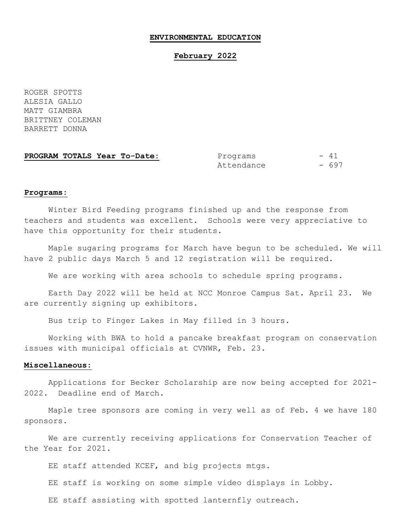#### **ENVIRONMENTAL EDUCATION**

### **February 2022**

ROGER SPOTTS ALESIA GALLO MATT GIAMBRA BRITTNEY COLEMAN BARRETT DONNA

**PROGRAM TOTALS Year To-Date:** Programs - 41 Attendance - 697

### **Programs:**

Winter Bird Feeding programs finished up and the response from teachers and students was excellent. Schools were very appreciative to have this opportunity for their students.

Maple sugaring programs for March have begun to be scheduled. We will have 2 public days March 5 and 12 registration will be required.

We are working with area schools to schedule spring programs.

Earth Day 2022 will be held at NCC Monroe Campus Sat. April 23. We are currently signing up exhibitors.

Bus trip to Finger Lakes in May filled in 3 hours.

Working with BWA to hold a pancake breakfast program on conservation issues with municipal officials at CVNWR, Feb. 23.

### **Miscellaneous:**

Applications for Becker Scholarship are now being accepted for 2021- 2022. Deadline end of March.

Maple tree sponsors are coming in very well as of Feb. 4 we have 180 sponsors.

We are currently receiving applications for Conservation Teacher of the Year for 2021.

EE staff attended KCEF, and big projects mtgs.

EE staff is working on some simple video displays in Lobby.

EE staff assisting with spotted lanternfly outreach.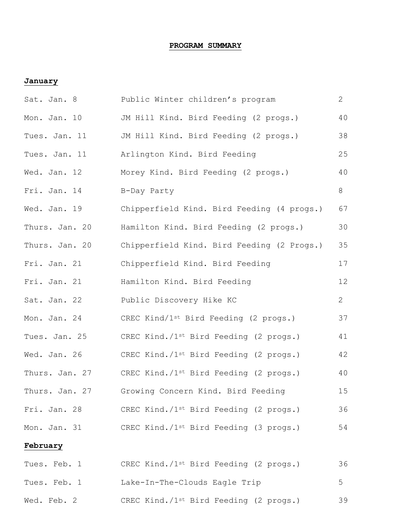# **PROGRAM SUMMARY**

## **January**

| Sat. Jan. 8    | Public Winter children's program                   | $\mathbf{2}$   |
|----------------|----------------------------------------------------|----------------|
| Mon. Jan. 10   | JM Hill Kind. Bird Feeding (2 progs.)              | 40             |
| Tues. Jan. 11  | JM Hill Kind. Bird Feeding (2 progs.)              | 38             |
| Tues. Jan. 11  | Arlington Kind. Bird Feeding                       | 25             |
| Wed. Jan. 12   | Morey Kind. Bird Feeding (2 progs.)                | 40             |
| Fri. Jan. 14   | B-Day Party                                        | 8              |
| Wed. Jan. 19   | Chipperfield Kind. Bird Feeding (4 progs.)         | 67             |
| Thurs. Jan. 20 | Hamilton Kind. Bird Feeding (2 progs.)             | 30             |
| Thurs. Jan. 20 | Chipperfield Kind. Bird Feeding (2 Progs.)         | 35             |
| Fri. Jan. 21   | Chipperfield Kind. Bird Feeding                    | 17             |
| Fri. Jan. 21   | Hamilton Kind. Bird Feeding                        | 12             |
| Sat. Jan. 22   | Public Discovery Hike KC                           | $\mathbf{2}$   |
| Mon. Jan. 24   | CREC Kind/1st Bird Feeding (2 progs.)              | 37             |
| Tues. Jan. 25  | CREC Kind./1st Bird Feeding (2 progs.)             | 41             |
| Wed. Jan. 26   | CREC Kind./1st Bird Feeding (2 progs.)             | 42             |
| Thurs. Jan. 27 | CREC Kind./1st Bird Feeding (2 progs.)             | 40             |
| Thurs. Jan. 27 | Growing Concern Kind. Bird Feeding                 | 15             |
| Fri. Jan. 28   | CREC Kind./1 <sup>st</sup> Bird Feeding (2 progs.) | 36             |
| Mon. Jan. 31   | CREC Kind./1 <sup>st</sup> Bird Feeding (3 progs.) | 54             |
| February       |                                                    |                |
| Tues. Feb. 1   | CREC Kind./1 <sup>st</sup> Bird Feeding (2 progs.) | 36             |
| Tues. Feb. 1   | Lake-In-The-Clouds Eagle Trip                      | 5 <sup>5</sup> |
| Wed. Feb. 2    | CREC Kind./1 <sup>st</sup> Bird Feeding (2 progs.) | 39             |